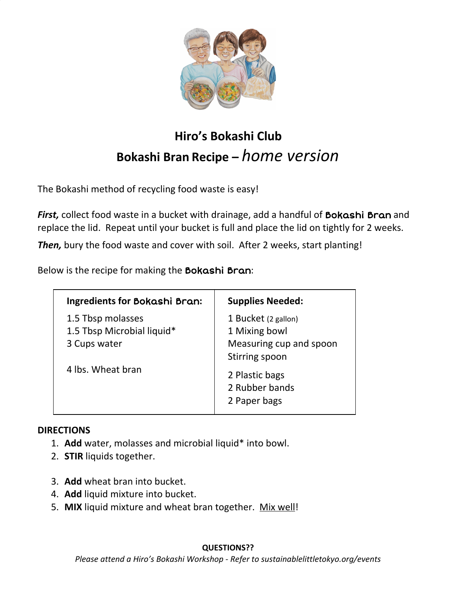

## **Hiro's Bokashi Club Bokashi Bran Recipe –** *home version*

The Bokashi method of recycling food waste is easy!

**First,** collect food waste in a bucket with drainage, add a handful of **Bokashi Bran** and replace the lid. Repeat until your bucket is full and place the lid on tightly for 2 weeks.

*Then,* bury the food waste and cover with soil. After 2 weeks, start planting!

Below is the recipe for making the Bokashi Bran:

| <b>Ingredients for Bokashi Bran:</b>                            | <b>Supplies Needed:</b>                                                           |
|-----------------------------------------------------------------|-----------------------------------------------------------------------------------|
| 1.5 Tbsp molasses<br>1.5 Tbsp Microbial liquid*<br>3 Cups water | 1 Bucket (2 gallon)<br>1 Mixing bowl<br>Measuring cup and spoon<br>Stirring spoon |
| 4 lbs. Wheat bran                                               | 2 Plastic bags<br>2 Rubber bands<br>2 Paper bags                                  |

## **DIRECTIONS**

- 1. **Add** water, molasses and microbial liquid\* into bowl.
- 2. **STIR** liquids together.
- 3. **Add** wheat bran into bucket.
- 4. **Add** liquid mixture into bucket.
- 5. **MIX** liquid mixture and wheat bran together. Mix well!

## **QUESTIONS??**